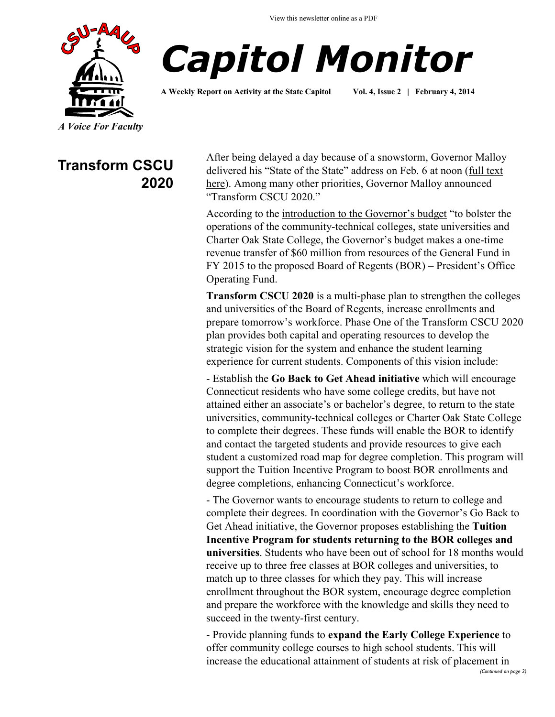View this newsletter online as a PDF





**A Weekly Report on Activity at the State Capitol Vol. 4, Issue 2 | February 4, 2014**

*A Voice For Faculty*

### **Transform CSCU 2020**

After being delayed a day because of a snowstorm, Governor Malloy delivered his "State of the State" address on Feb. 6 at noon ([full text](http://www.governor.ct.gov/malloy/cwp/view.asp?A=11&Q=539440)  [here\)](http://www.governor.ct.gov/malloy/cwp/view.asp?A=11&Q=539440). Among many other priorities, Governor Malloy announced "Transform CSCU 2020."

According to the [introduction to the Governor's budget](http://www.csuaaup.org/wp-content/uploads/2014/02/IntroGovBudget.pdf) "to bolster the operations of the community-technical colleges, state universities and Charter Oak State College, the Governor's budget makes a one-time revenue transfer of \$60 million from resources of the General Fund in FY 2015 to the proposed Board of Regents (BOR) – President's Office Operating Fund.

**Transform CSCU 2020** is a multi-phase plan to strengthen the colleges and universities of the Board of Regents, increase enrollments and prepare tomorrow's workforce. Phase One of the Transform CSCU 2020 plan provides both capital and operating resources to develop the strategic vision for the system and enhance the student learning experience for current students. Components of this vision include:

- Establish the **Go Back to Get Ahead initiative** which will encourage Connecticut residents who have some college credits, but have not attained either an associate's or bachelor's degree, to return to the state universities, community-technical colleges or Charter Oak State College to complete their degrees. These funds will enable the BOR to identify and contact the targeted students and provide resources to give each student a customized road map for degree completion. This program will support the Tuition Incentive Program to boost BOR enrollments and degree completions, enhancing Connecticut's workforce.

- The Governor wants to encourage students to return to college and complete their degrees. In coordination with the Governor's Go Back to Get Ahead initiative, the Governor proposes establishing the **Tuition Incentive Program for students returning to the BOR colleges and universities**. Students who have been out of school for 18 months would receive up to three free classes at BOR colleges and universities, to match up to three classes for which they pay. This will increase enrollment throughout the BOR system, encourage degree completion and prepare the workforce with the knowledge and skills they need to succeed in the twenty-first century.

- Provide planning funds to **expand the Early College Experience** to offer community college courses to high school students. This will increase the educational attainment of students at risk of placement in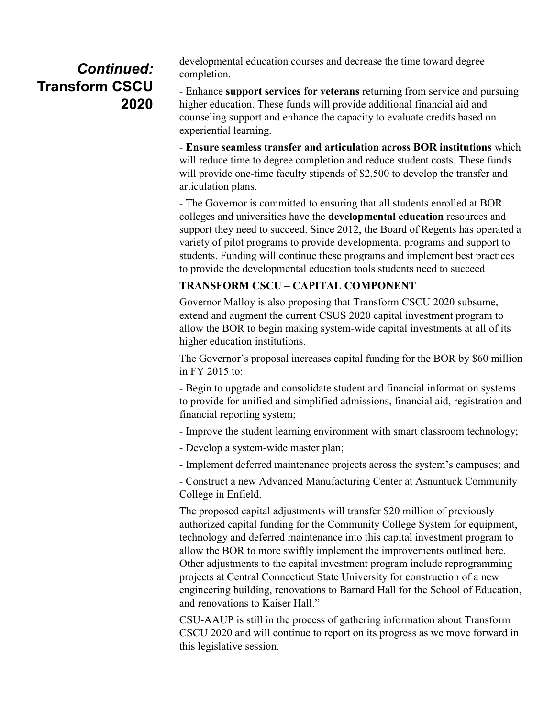## *Continued:*  **Transform CSCU 2020**

developmental education courses and decrease the time toward degree completion.

- Enhance **support services for veterans** returning from service and pursuing higher education. These funds will provide additional financial aid and counseling support and enhance the capacity to evaluate credits based on experiential learning.

- **Ensure seamless transfer and articulation across BOR institutions** which will reduce time to degree completion and reduce student costs. These funds will provide one-time faculty stipends of \$2,500 to develop the transfer and articulation plans.

- The Governor is committed to ensuring that all students enrolled at BOR colleges and universities have the **developmental education** resources and support they need to succeed. Since 2012, the Board of Regents has operated a variety of pilot programs to provide developmental programs and support to students. Funding will continue these programs and implement best practices to provide the developmental education tools students need to succeed

#### **TRANSFORM CSCU – CAPITAL COMPONENT**

Governor Malloy is also proposing that Transform CSCU 2020 subsume, extend and augment the current CSUS 2020 capital investment program to allow the BOR to begin making system-wide capital investments at all of its higher education institutions.

The Governor's proposal increases capital funding for the BOR by \$60 million in FY 2015 to:

- Begin to upgrade and consolidate student and financial information systems to provide for unified and simplified admissions, financial aid, registration and financial reporting system;

- Improve the student learning environment with smart classroom technology;

- Develop a system-wide master plan;

- Implement deferred maintenance projects across the system's campuses; and

- Construct a new Advanced Manufacturing Center at Asnuntuck Community College in Enfield.

The proposed capital adjustments will transfer \$20 million of previously authorized capital funding for the Community College System for equipment, technology and deferred maintenance into this capital investment program to allow the BOR to more swiftly implement the improvements outlined here. Other adjustments to the capital investment program include reprogramming projects at Central Connecticut State University for construction of a new engineering building, renovations to Barnard Hall for the School of Education, and renovations to Kaiser Hall."

CSU-AAUP is still in the process of gathering information about Transform CSCU 2020 and will continue to report on its progress as we move forward in this legislative session.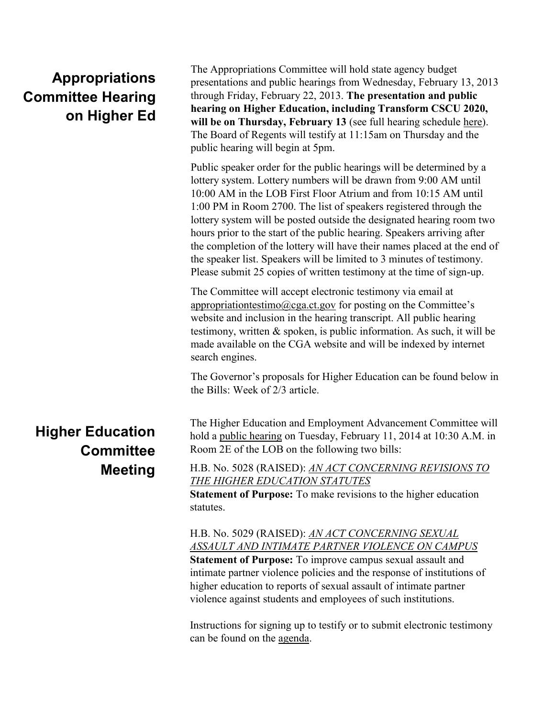# **Appropriations Committee Hearing on Higher Ed**

The Appropriations Committee will hold state agency budget presentations and public hearings from Wednesday, February 13, 2013 through Friday, February 22, 2013. **The presentation and public hearing on Higher Education, including Transform CSCU 2020, will be on Thursday, February 13** (see full hearing schedule [here\)](http://www.cga.ct.gov/app/docs/2013/2013%20Budget%20Hearing%20Schedule%20for%20Publication.pdf). The Board of Regents will testify at 11:15am on Thursday and the public hearing will begin at 5pm.

Public speaker order for the public hearings will be determined by a lottery system. Lottery numbers will be drawn from 9:00 AM until 10:00 AM in the LOB First Floor Atrium and from 10:15 AM until 1:00 PM in Room 2700. The list of speakers registered through the lottery system will be posted outside the designated hearing room two hours prior to the start of the public hearing. Speakers arriving after the completion of the lottery will have their names placed at the end of the speaker list. Speakers will be limited to 3 minutes of testimony. Please submit 25 copies of written testimony at the time of sign-up.

The Committee will accept electronic testimony via email at [appropriationtestimo@cga.ct.gov](mailto:appropriationtestimo@cga.ct.gov?subject=Higher%20Education%20Testimony) for posting on the Committee's website and inclusion in the hearing transcript. All public hearing testimony, written & spoken, is public information. As such, it will be made available on the CGA website and will be indexed by internet search engines.

The Governor's proposals for Higher Education can be found below in the Bills: Week of 2/3 article.

## **Higher Education Committee Meeting**

The Higher Education and Employment Advancement Committee will hold a [public hearing](http://www.cga.ct.gov/2014/HEDdata/pha/2014PHA00211-R001030HED-PHA.htm) on Tuesday, February 11, 2014 at 10:30 A.M. in Room 2E of the LOB on the following two bills:

H.B. No. 5028 (RAISED): *[AN ACT CONCERNING REVISIONS TO](http://www.cga.ct.gov/asp/cgabillstatus/cgabillstatus.asp?selBillType=Bill&bill_num=HB05028&which_year=2014)  [THE HIGHER EDUCATION STATUTES](http://www.cga.ct.gov/asp/cgabillstatus/cgabillstatus.asp?selBillType=Bill&bill_num=HB05028&which_year=2014)*

**Statement of Purpose:** To make revisions to the higher education statutes.

H.B. No. 5029 (RAISED): *[AN ACT CONCERNING SEXUAL](http://www.cga.ct.gov/asp/cgabillstatus/cgabillstatus.asp?selBillType=Bill&bill_num=HB05029&which_year=2014)  [ASSAULT AND INTIMATE PARTNER VIOLENCE ON CAMPUS](http://www.cga.ct.gov/asp/cgabillstatus/cgabillstatus.asp?selBillType=Bill&bill_num=HB05029&which_year=2014)* **Statement of Purpose:** To improve campus sexual assault and intimate partner violence policies and the response of institutions of higher education to reports of sexual assault of intimate partner violence against students and employees of such institutions.

Instructions for signing up to testify or to submit electronic testimony can be found on the [agenda.](http://www.cga.ct.gov/2014/HEDdata/pha/2014PHA00211-R001030HED-PHA.htm)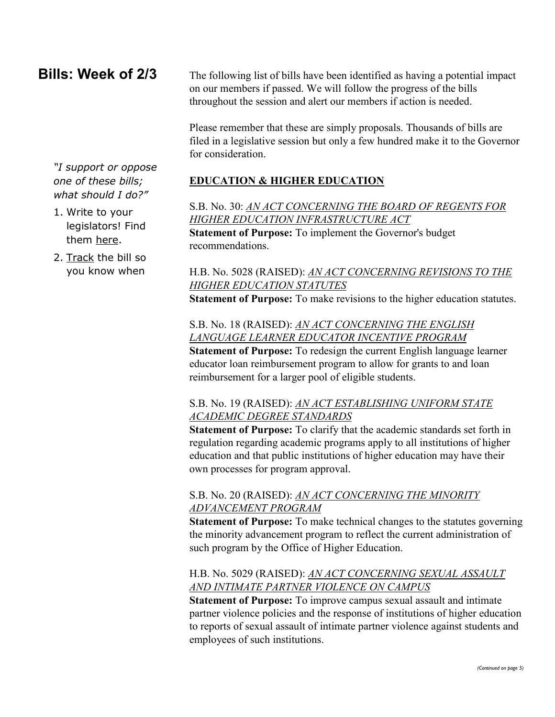### **Bills: Week of 2/3**

The following list of bills have been identified as having a potential impact on our members if passed. We will follow the progress of the bills throughout the session and alert our members if action is needed.

Please remember that these are simply proposals. Thousands of bills are filed in a legislative session but only a few hundred make it to the Governor for consideration.

**EDUCATION & HIGHER EDUCATION**

S.B. No. 30: *[AN ACT CONCERNING THE BOARD OF REGENTS FOR](http://www.cga.ct.gov/asp/cgabillstatus/cgabillstatus.asp?selBillType=Bill&bill_num=SB00030&which_year=2014)  [HIGHER EDUCATION INFRASTRUCTURE ACT](http://www.cga.ct.gov/asp/cgabillstatus/cgabillstatus.asp?selBillType=Bill&bill_num=SB00030&which_year=2014)* **Statement of Purpose:** To implement the Governor's budget recommendations.

#### H.B. No. 5028 (RAISED): *[AN ACT CONCERNING REVISIONS TO THE](http://www.cga.ct.gov/asp/cgabillstatus/cgabillstatus.asp?selBillType=Bill&bill_num=HB05028&which_year=2014)  [HIGHER EDUCATION STATUTES](http://www.cga.ct.gov/asp/cgabillstatus/cgabillstatus.asp?selBillType=Bill&bill_num=HB05028&which_year=2014)*

**Statement of Purpose:** To make revisions to the higher education statutes.

S.B. No. 18 (RAISED): *[AN ACT CONCERNING THE ENGLISH](http://www.cga.ct.gov/asp/cgabillstatus/cgabillstatus.asp?selBillType=Bill&bill_num=SB00018&which_year=2014)  [LANGUAGE LEARNER EDUCATOR INCENTIVE PROGRAM](http://www.cga.ct.gov/asp/cgabillstatus/cgabillstatus.asp?selBillType=Bill&bill_num=SB00018&which_year=2014)* **Statement of Purpose:** To redesign the current English language learner educator loan reimbursement program to allow for grants to and loan reimbursement for a larger pool of eligible students.

#### S.B. No. 19 (RAISED): *[AN ACT ESTABLISHING UNIFORM STATE](http://www.cga.ct.gov/asp/cgabillstatus/cgabillstatus.asp?selBillType=Bill&bill_num=SB00019&which_year=2014)  [ACADEMIC DEGREE STANDARDS](http://www.cga.ct.gov/asp/cgabillstatus/cgabillstatus.asp?selBillType=Bill&bill_num=SB00019&which_year=2014)*

**Statement of Purpose:** To clarify that the academic standards set forth in regulation regarding academic programs apply to all institutions of higher education and that public institutions of higher education may have their own processes for program approval.

#### S.B. No. 20 (RAISED): *[AN ACT CONCERNING THE MINORITY](http://www.cga.ct.gov/asp/cgabillstatus/cgabillstatus.asp?selBillType=Bill&bill_num=SB00020&which_year=2014)  [ADVANCEMENT PROGRAM](http://www.cga.ct.gov/asp/cgabillstatus/cgabillstatus.asp?selBillType=Bill&bill_num=SB00020&which_year=2014)*

**Statement of Purpose:** To make technical changes to the statutes governing the minority advancement program to reflect the current administration of such program by the Office of Higher Education.

#### H.B. No. 5029 (RAISED): *[AN ACT CONCERNING SEXUAL ASSAULT](http://www.cga.ct.gov/asp/cgabillstatus/cgabillstatus.asp?selBillType=Bill&bill_num=HB05029&which_year=2014)  [AND INTIMATE PARTNER VIOLENCE ON CAMPUS](http://www.cga.ct.gov/asp/cgabillstatus/cgabillstatus.asp?selBillType=Bill&bill_num=HB05029&which_year=2014)*

**Statement of Purpose:** To improve campus sexual assault and intimate partner violence policies and the response of institutions of higher education to reports of sexual assault of intimate partner violence against students and employees of such institutions.

*"I support or oppose one of these bills; what should I do?"*

- 1. Write to your legislators! Find them [here.](http://www.cga.ct.gov/asp/menu/CGAFindLeg.asp)
- 2. [Track](http://www.cga.ct.gov/aspx/CGAPublicBillTrack/Register.aspx) the bill so you know when